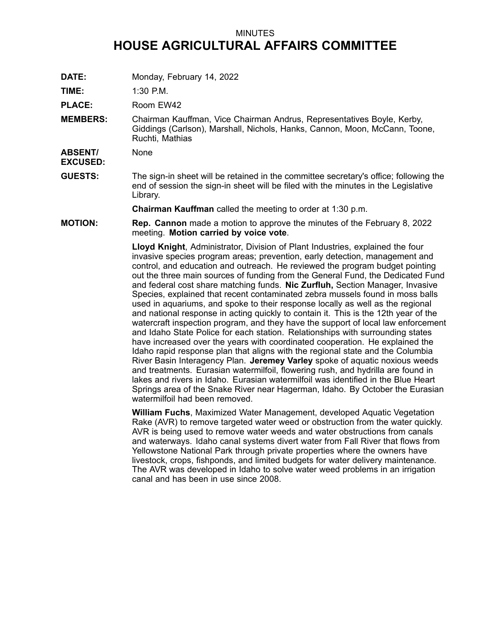## MINUTES **HOUSE AGRICULTURAL AFFAIRS COMMITTEE**

**DATE:** Monday, February 14, 2022

**TIME:** 1:30 P.M.

PLACE: Room EW42

**MEMBERS:** Chairman Kauffman, Vice Chairman Andrus, Representatives Boyle, Kerby, Giddings (Carlson), Marshall, Nichols, Hanks, Cannon, Moon, McCann, Toone, Ruchti, Mathias

**ABSENT/ EXCUSED:** None

**GUESTS:** The sign-in sheet will be retained in the committee secretary's office; following the end of session the sign-in sheet will be filed with the minutes in the Legislative Library.

**Chairman Kauffman** called the meeting to order at 1:30 p.m.

**MOTION: Rep. Cannon** made <sup>a</sup> motion to approve the minutes of the February 8, 2022 meeting. **Motion carried by voice vote**.

> **Lloyd Knight**, Administrator, Division of Plant Industries, explained the four invasive species program areas; prevention, early detection, management and control, and education and outreach. He reviewed the program budget pointing out the three main sources of funding from the General Fund, the Dedicated Fund and federal cost share matching funds. **Nic Zurfluh,** Section Manager, Invasive Species, explained that recent contaminated zebra mussels found in moss balls used in aquariums, and spoke to their response locally as well as the regional and national response in acting quickly to contain it. This is the 12th year of the watercraft inspection program, and they have the support of local law enforcement and Idaho State Police for each station. Relationships with surrounding states have increased over the years with coordinated cooperation. He explained the Idaho rapid response plan that aligns with the regional state and the Columbia River Basin Interagency Plan. **Jeremey Varley** spoke of aquatic noxious weeds and treatments. Eurasian watermilfoil, flowering rush, and hydrilla are found in lakes and rivers in Idaho. Eurasian watermilfoil was identified in the Blue Heart Springs area of the Snake River near Hagerman, Idaho. By October the Eurasian watermilfoil had been removed.

**William Fuchs**, Maximized Water Management, developed Aquatic Vegetation Rake (AVR) to remove targeted water weed or obstruction from the water quickly. AVR is being used to remove water weeds and water obstructions from canals and waterways. Idaho canal systems divert water from Fall River that flows from Yellowstone National Park through private properties where the owners have livestock, crops, fishponds, and limited budgets for water delivery maintenance. The AVR was developed in Idaho to solve water weed problems in an irrigation canal and has been in use since 2008.